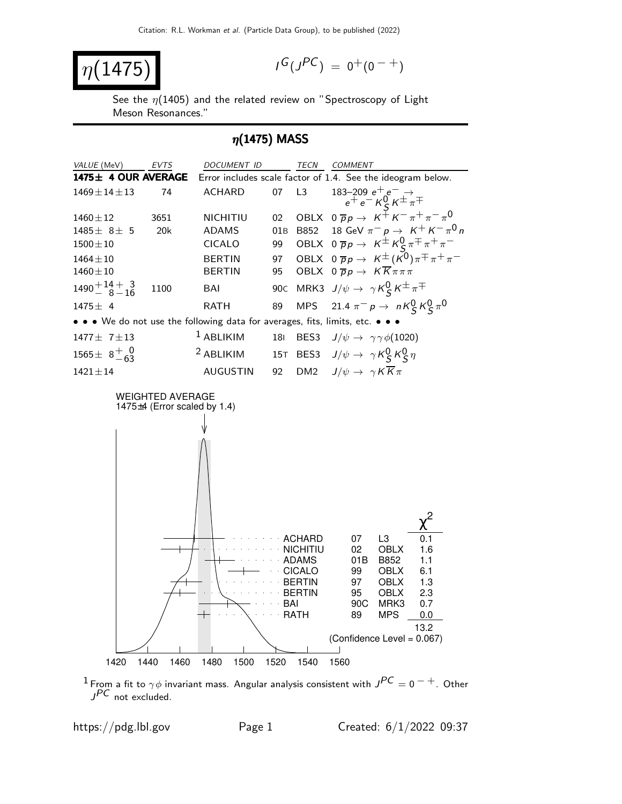$$
\eta(1475)
$$

$$
I^G(J^{PC}) = 0^+(0^{-+})
$$

See the  $\eta$ (1405) and the related review on "Spectroscopy of Light Meson Resonances."

## $\eta$ (1475) MASS



 $^1$ From a fit to  $\gamma\phi$  invariant mass. Angular analysis consistent with  $J^{PC}=0$   $^-+$  . Other  $J^{PC}$  not excluded.

https://pdg.lbl.gov Page 1 Created:  $6/1/2022$  09:37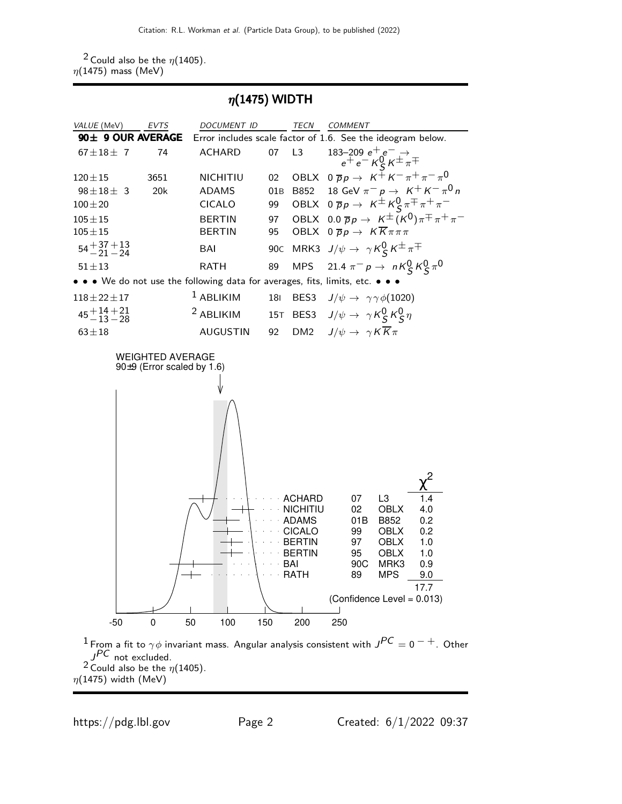<sup>2</sup> Could also be the  $\eta$ (1405).  $\eta(1475)$  mass (MeV)

 $\eta$ (1475) WIDTH

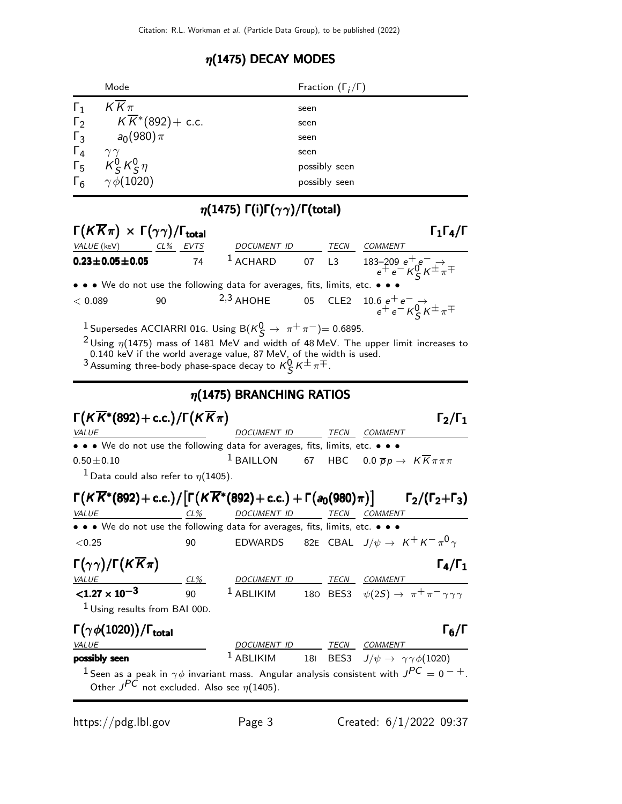## $\eta(1475)$  DECAY MODES

|                             | Mode                             | Fraction $(\Gamma_i/\Gamma)$ |
|-----------------------------|----------------------------------|------------------------------|
| $\Gamma_1$                  | $KK\pi$                          | seen                         |
|                             | $\sqrt{K^*} (892) + \text{c.c.}$ | seen                         |
| $\Gamma_3$                  | $a_0(980)\pi$                    | seen                         |
| $\frac{\Gamma_4}{\Gamma_5}$ | $\gamma\gamma$                   | seen                         |
|                             | $K_S^0 K_S^0 \eta$               | possibly seen                |
|                             | $\Gamma_6$ $\gamma \phi (1020)$  | possibly seen                |

## $\eta(1475)$  Γ(i)Γ $(\gamma \gamma)/$ Γ(total)

| $\Gamma(K\overline{K}\pi)\,\times\,\Gamma(\gamma\gamma)/\Gamma_{\rm total}$                                                     |                                                      |                                                                                                                                                                                                                                                                                                                                                      |     |                  |                                                                                                                            | $\Gamma_1\Gamma_4/\Gamma$             |
|---------------------------------------------------------------------------------------------------------------------------------|------------------------------------------------------|------------------------------------------------------------------------------------------------------------------------------------------------------------------------------------------------------------------------------------------------------------------------------------------------------------------------------------------------------|-----|------------------|----------------------------------------------------------------------------------------------------------------------------|---------------------------------------|
| VALUE (keV) CL% EVTS                                                                                                            |                                                      | DOCUMENT ID                                                                                                                                                                                                                                                                                                                                          |     | TECN             | <b>COMMENT</b>                                                                                                             |                                       |
| $0.23 \pm 0.05 \pm 0.05$                                                                                                        | 74                                                   | $1$ ACHARD                                                                                                                                                                                                                                                                                                                                           |     | 07 L3            | 183–209 $e^+e^- \rightarrow$<br>$e^+e^ K^0_S$ $K^{\pm} \pi^{\mp}$                                                          |                                       |
|                                                                                                                                 |                                                      | • • We do not use the following data for averages, fits, limits, etc. •                                                                                                                                                                                                                                                                              |     |                  |                                                                                                                            |                                       |
| < 0.089                                                                                                                         | 90                                                   | $2,3$ AHOHE                                                                                                                                                                                                                                                                                                                                          | 05  | CLE <sub>2</sub> | $\begin{array}{c} 10.6\ \ e^+\ e^- \ \ \rightarrow \\ e^+\ e^- \ \ \mathcal{K}^0_S\ \mathcal{K}^\pm \ \pi^\mp \end{array}$ |                                       |
|                                                                                                                                 |                                                      | <sup>1</sup> Supersedes ACCIARRI 01G. Using B $(\kappa_S^0 \rightarrow \pi^+ \pi^-)$ = 0.6895.<br>$^2$ Using $\eta(1475)$ mass of 1481 MeV and width of 48 MeV. The upper limit increases to<br>0.140 keV if the world average value, 87 MeV, of the width is used.<br>$^3$ Assuming three-body phase-space decay to $\kappa_S^0\kappa^\pm\pi^\mp$ . |     |                  |                                                                                                                            |                                       |
|                                                                                                                                 |                                                      | $\eta$ (1475) BRANCHING RATIOS                                                                                                                                                                                                                                                                                                                       |     |                  |                                                                                                                            |                                       |
| $\Gamma(K\overline{K}^*(892)+$ c.c.) / $\Gamma(KK\pi)$                                                                          |                                                      | DOCUMENT ID                                                                                                                                                                                                                                                                                                                                          |     |                  | TECN COMMENT                                                                                                               | $\mathsf{\Gamma}_2/\mathsf{\Gamma}_1$ |
| <i>VALUE</i><br>• • • We do not use the following data for averages, fits, limits, etc. • • •                                   |                                                      |                                                                                                                                                                                                                                                                                                                                                      |     |                  |                                                                                                                            |                                       |
| $0.50 \pm 0.10$                                                                                                                 |                                                      | $1$ BAILLON                                                                                                                                                                                                                                                                                                                                          | 67  |                  | HBC $0.0 \overline{p}p \rightarrow K \overline{K} \pi \pi \pi$                                                             |                                       |
| <sup>1</sup> Data could also refer to $\eta(1405)$ .                                                                            |                                                      |                                                                                                                                                                                                                                                                                                                                                      |     |                  |                                                                                                                            |                                       |
|                                                                                                                                 |                                                      |                                                                                                                                                                                                                                                                                                                                                      |     |                  |                                                                                                                            |                                       |
| $\Gamma(K\overline{K}^*(892)+c.c.)/[\Gamma(K\overline{K}^*(892)+c.c.)+\Gamma(a_0(980)\pi)] \qquad \Gamma_2/(\Gamma_2+\Gamma_3)$ |                                                      |                                                                                                                                                                                                                                                                                                                                                      |     |                  |                                                                                                                            |                                       |
| <i>VALUE</i>                                                                                                                    | $CL\%$                                               | DOCUMENT ID TECN COMMENT                                                                                                                                                                                                                                                                                                                             |     |                  |                                                                                                                            |                                       |
| • • • We do not use the following data for averages, fits, limits, etc. • •                                                     |                                                      |                                                                                                                                                                                                                                                                                                                                                      |     |                  |                                                                                                                            |                                       |
| < 0.25                                                                                                                          | 90                                                   | <b>EDWARDS</b>                                                                                                                                                                                                                                                                                                                                       |     |                  | 82E CBAL $J/\psi \rightarrow K^+ K^- \pi^0 \gamma$                                                                         |                                       |
| $\Gamma(\gamma\gamma)/\Gamma(\mathcal{K}\overline{\mathcal{K}}\pi)$                                                             |                                                      |                                                                                                                                                                                                                                                                                                                                                      |     |                  |                                                                                                                            | $\Gamma_4/\Gamma_1$                   |
| <b>VALUE</b>                                                                                                                    | CL%                                                  | DOCU <u>MENT ID</u>                                                                                                                                                                                                                                                                                                                                  |     |                  | <b>TECN COMMENT</b>                                                                                                        |                                       |
| $< 1.27 \times 10^{-3}$                                                                                                         | 90                                                   | $1$ ABLIKIM                                                                                                                                                                                                                                                                                                                                          |     |                  | 180 BES3 $\psi(2S) \rightarrow \pi^+ \pi^- \gamma \gamma \gamma$                                                           |                                       |
| <sup>1</sup> Using results from BAI 00D.                                                                                        |                                                      |                                                                                                                                                                                                                                                                                                                                                      |     |                  |                                                                                                                            |                                       |
| $\Gamma(\gamma \phi(1020))/\Gamma_{\rm total}$                                                                                  |                                                      |                                                                                                                                                                                                                                                                                                                                                      |     |                  |                                                                                                                            | $\Gamma_6/\Gamma$                     |
| <b>VALUE</b>                                                                                                                    |                                                      | DOCUMENT ID TECN COMMENT                                                                                                                                                                                                                                                                                                                             |     |                  |                                                                                                                            |                                       |
| possibly seen                                                                                                                   |                                                      | $1$ ABLIKIM                                                                                                                                                                                                                                                                                                                                          | 181 | BES3             | $J/\psi \rightarrow \gamma \gamma \phi(1020)$                                                                              |                                       |
|                                                                                                                                 | Other $J^{PC}$ not excluded. Also see $\eta(1405)$ . | $^1$ Seen as a peak in $\gamma\phi$ invariant mass. Angular analysis consistent with $J^{PC}=0^{-+}$ .                                                                                                                                                                                                                                               |     |                  |                                                                                                                            |                                       |

https://pdg.lbl.gov Page 3 Created: 6/1/2022 09:37